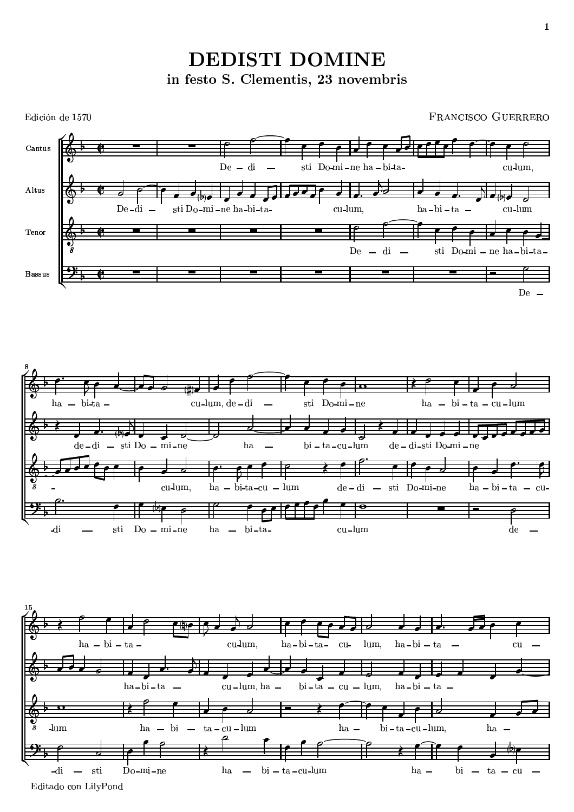

Edición de 1570 FRANCISCO GUERRERO **Y** YOU ARE INTERFERING TO A REPORT OF THE CONTINUES OF THE CONTINUES OF THE CONTINUES OF THE CONTINUES OF THE CONTINUES OF THE CONTINUES OF THE CONTINUES OF THE CONTINUES OF THE CONTINUES OF THE CONTINUES OF THE CONTINUES **Y** YOU ARE INTERFERING TO A REPORT OF THE CONTINUES OF THE CONTINUES OF THE CONTINUES OF THE CONTINUES OF THE CONTINUES OF THE CONTINUES OF THE CONTINUES OF THE CONTINUES OF THE CONTINUES OF THE CONTINUES OF THE CONTINUES YEAR-OLD SERVICE STATES AND RESIDENCE AND RESIDENCE AND LODGED AND LODGED AND LODGED AND LODGED AND LODGED AND  $\bar{C}$  antus  $\overline{\phantom{a}}$   $\overline{\phantom{a}}$   $\overline{\phantom{a}}$   $\overline{\phantom{a}}$   $\overline{\phantom{a}}$   $\overline{\phantom{a}}$   $\overline{\phantom{a}}$   $\overline{\phantom{a}}$   $\overline{\phantom{a}}$   $\overline{\phantom{a}}$   $\overline{\phantom{a}}$   $\overline{\phantom{a}}$   $\overline{\phantom{a}}$   $\overline{\phantom{a}}$   $\overline{\phantom{a}}$   $\overline{\phantom{a}}$   $\overline{\phantom{a}}$   $\overline{\phantom{a}}$   $\overline{\$  $\mathcal{S}$  is a set of  $\mathcal{S}$ Zo `[fpfpd<f ^ ] q[rs De u7 a company and a company of the company of the company of the company of the company of the company of the company of the company of the company of the company of the company of the company of the company of the company va vykoval v vykoval v vykoval v vykoval v vykoval v vykoval v vykoval v vykoval v vykoval v vykoval v vykoval vxwQyz 9<sup>w</sup>  ${\color{blue} \bullet}$  . The contract of the contract of the contract of the contract of the contract of the contract of the contract of the contract of the contract of the contract of the contract of the contract of the contract of s<br>|m<br>|  ${\color{red} -}$  . The contract of the contract of the contract of the contract of the contract of the contract of the contract of the contract of the contract of the contract of the contract of the contract of the contract of t <sup>|</sup> >@ results and the contract of the contract of the contract of the contract of the contract of the contract of the <sup>~</sup> } ^ <u>state of the contract of the contract of the contract of the contract of the contract of the contract of the contract of the contract of the contract of the contract of the contract of the contract of the contract of the </u> such a series of the series of the series of the series of the series of the series of the series of the series state and the contract of the contract of the contract of the contract of the contract of the contract of the and the contract of the contract of the contract of the contract of the contract of the contract of the contract of <u>sa sa sanarang nagarang panganggang nagarang panganggang nagarang panganggang nagarang panganggang nagarang panganggang nagarang panganggang nagarang panganggang nagarang panganggang nagarang panganggang nagarang pangangg</u> s se estado de la contrada de la contrada de la contrada de la contrada de la contrada de la contrada de la co  $\mathcal{S}_{\text{obs}}$  $\overbrace{ }$ s a component of the second contract of the second contract of the second contract of the second contract of the second contract of the second contract of the second contract of the second contract of the second contract o at:  $\mathbf{D}$ ant: aa **q**\_\_\_\_\_\_\_ <u>sa magaalaan ing kalendari ka sina saaraa saaraa saaraa saaraa saaraa saaraa saaraa saaraa saaraa saaraa saaraa saaraa saaraa saaraa saaraa saaraa saaraa saaraa saaraa saaraa saaraa saaraa saaraa saaraa saaraa saaraa saar</u> state the contract of the contract of the contract of the contract of the contract of the contract of the contract of the contract of the contract of the contract of the contract of the contract of the contract of the cont the contract of the contract of the contract of the contract of the contract of the contract of the contract of u7 <sup>|</sup> s and the second second second second second second second second second second second second second second second second second second second second second second second second second second second second second second se <sup>s</sup> <sup>s</sup> ra a serie de la construcción de la construcción de la construcción de la construcción de la construcción de l state and the state of the state of the state of the state of the state of the state of the state of the state of the state of the state of the state of the state of the state of the state of the state of the state of the <sup>s</sup> <sup>s</sup> the contract of the contract of the contract of the contract of the contract of the contract of the contract of <sup>587</sup> t.@ au Daminaha kita l  ${\color{red} \bullet}$  . The contract of the contract of the contract of the contract of the contract of the contract of the contract of the contract of the contract of the contract of the contract of the contract of the contract of  $\mathcal{S}$ results and the contract of the contract of the contract of the contract of the contract of the contract of the  $\sim$  set of  $\sim$  set of  $\sim$  set of  $\sim$ vwyz 9<sup>w</sup> { s a second contract of the contract of the contract of the contract of the contract of the contract of the contract of the contract of the contract of the contract of the contract of the contract of the contract of the con <sup>s</sup> . . . . . .  $\blacksquare$ s and a set of  $\blacksquare$ <sup>s</sup> <sup>s</sup> **s** Files and the set state the contract of the contract of the contract of the contract of the contract of the contract of the contract of the contract of the contract of the contract of the contract of the contract of the contract of the cont  $t$ au7 <sup>|</sup> t. The second control of the second control of the second control of the second control of the second control of the second control of the second control of the second control of the second control of the second control of {  $\begin{array}{c} \bullet \rightarrow \bullet \rightarrow \bullet \end{array}$ <br>na-bi-ta- $\frac{d-\sigma}{\sigma}$  (b)  $\frac{1}{\sigma}$  is the set of  $\frac{1}{\sigma}$ <u>state and the state of the state of the state of the state of the state of the state of the state of the state of the state of the state of the state of the state of the state of the state of the state of the state of the</u>  ${\color{red} -}$   ${\color{red} -}$   ${\color{red} -}$   ${\color{red} -}$   ${\color{red} -}$   ${\color{red} -}$   ${\color{red} -}$   ${\color{red} -}$   ${\color{red} -}$   ${\color{red} -}$   ${\color{red} -}$   ${\color{red} -}$   ${\color{red} -}$   ${\color{red} -}$   ${\color{red} -}$   ${\color{red} -}$   ${\color{red} -}$   ${\color{red} -}$   ${\color{red} -}$   ${\color{red} -}$   ${\color{red} -}$   ${\color{red} -}$  <sup>~</sup> } ^ the contract of the contract of the contract of the contract of the contract of the contract of the contract of  $\begin{array}{c|c|c|c} \hline \textbf{e} & \textbf{e} & \textbf{e} \\ \hline \textbf{e} & \textbf{e} & \textbf{e} \\ \hline \textbf{e} & \textbf{e} & \textbf{e} \\ \hline \textbf{e} & \textbf{e} & \textbf{e} \\ \hline \textbf{e} & \textbf{e} & \textbf{e} \\ \hline \textbf{e} & \textbf{e} & \textbf{e} \\ \hline \textbf{e} & \textbf{e} & \textbf{e} \\ \hline \textbf{e} & \textbf{e} & \textbf{e} \\ \hline \textbf{e} & \textbf{e$  $\frac{\text{De-di}}{\cdot}$ {  $\blacksquare$  ) and the contract of the contract of the contract of the contract of the contract of the contract of the contract of the contract of the contract of the contract of the contract of the contract of the contract of  $\begin{array}{c|c}\n\text{Cantus} & \bullet & \bullet \\
\hline\n\bullet & \bullet & \bullet\n\end{array}$  $\begin{array}{c|c|c|c|c} \bullet & \bullet & \bullet & \bullet & \bullet & \bullet \ \hline \bullet & \bullet & \bullet & \bullet & \bullet & \bullet \ \hline \bullet & \bullet & \bullet & \bullet & \bullet & \bullet \ \hline \end{array}$  $\gamma$  $\Lambda$   $\sim$  Y  $\wedge$   $\qquad$  $\overline{\phantom{a}}$  , and the contract of the contract of the contract of the contract of the contract of the contract of the contract of the contract of the contract of the contract of the contract of the contract of the contrac  $\sim$   $\sim$   $\sim$   $\sim$   $\sim$  $cu$  $\bullet$  set of  $\bullet$ <sup>s</sup> <sup>s</sup> s se estado de la contrada de la contrada de la contrada de la contrada de la contrada de la contrada de la co  $\overline{de}$ q[r van die 19de eeu n.C. Soos ander het die 19de eeu n.C. Soos ander het die 19de eeu n.C. Soos ander het die 19d  ${\color{red} \bullet}$  . The contract of the contract of the contract of the contract of the contract of the contract of the contract of the contract of the contract of the contract of the contract of the contract of the contract of <sup>s</sup> <sup>s</sup> { . . . . . . u7 |r >@ such a series of the series of the series of the series of the series of the series of the series of the series <u>sa sa sanarang nagarang panganggang nagarang panganggang nagarang panganggang nagarang panganggang nagarang panganggang nagarang panganggang nagarang panganggang nagarang panganggang nagarang panganggang nagarang pangangg</u> se a construction of the construction of the construction of the construction of the construction of the construction of the construction of the construction of the construction of the construction of the construction of t . . . . >@ quality and provide the control of the control of the control of the control of the control of the control of s and the second contract of the second second second second second second second second second second second second second second second second second second second second second second second second second second second <sup>s</sup> de – di-sti Do-mi – ne<br>——————————————————— bi – ta s se estado de la contrada de la contrada de la contrada de la contrada de la contrada de la contrada de la co <u>se esperanto de la contextual de la contextual de la contextual de la contextual de la contextual de la contextual de la contextual de la contextual de la contextual de la contextual de la contextual de la contextual de l</u> s such a contract of the contract of the contract of the contract of the contract of the contract of the contract of the contract of the contract of the contract of the contract of the contract of the contract of the contr  $\mathbf{r}$  to  $\mathbf{r}$  . The set of  $\mathbf{r}$ the contract of the contract of the contract of the contract of the contract of ha red and the state of the state of the state of the state of the state of the state of the state of the state o <u>s i se </u> <sup>s</sup>  $\sim$   $\sim$   $\sim$   $\sim$   $\sim$   $\sim$ state the contract of the contract of the contract of the contract of the contract of the contract of the contract of the contract of the contract of the contract of the contract of the contract of the contract of the cont the contract of the contract of the contract of the contract of the contract of  $\sim$   $\sim$   $\sim$   $\sim$   $\sim$   $\sim$   $\sim$ vw Qymru a chwaraeth a chwaraeth a chwaraeth a chwaraeth a chwaraeth a chwaraeth a chwaraeth a chwaraeth a chw <sup>587</sup> 58@ vwQy -ne<br><del>|<br>| 2</del>  $\sim$  . The contract of the contract of the contract of the contract of the contract of the contract of the contract of the contract of the contract of the contract of the contract of the contract of the contract of the co  $\begin{array}{c|c|c|c} \hline \textbf{a} & \textbf{b} \\ \hline \textbf{b} & \textbf{b} \\ \hline \textbf{c} & \textbf{c} \\ \hline \textbf{c} & \textbf{d} \\ \hline \textbf{c} & \textbf{d} \\ \hline \textbf{c} & \textbf{d} \\ \hline \textbf{d} & \textbf{b} \end{array}$ experience and the contract of the contract of the contract of the contract of the contract of the contract of  $n\epsilon$ <u>se estados de algunas de algunas de algunas de algunas de algunas de algunas de algunas de algunas de algunas </u>  $\sim$  second second second second second second second second second second second second second second second second second second second second second second second second second second second second second second second s and the second contract of the second second second in the second second second in the second second second in the second second second in the second second second in the second second second second second second second  $\sim$  set of  $\sim$  set of  $\sim$  $\sim$   $\sim$   $\sim$   $\sim$ ati Damino s and the second contract of the second contract of the second contract of the second contract of the second contract of the second contract of the second contract of the second contract of the second contract of the secon  $\tan 2$ <br> $\tan 2$ such a series of the series of the series of the series of the series of the series of the series of the series <sup>s</sup> u7 the contract of the contract of the contract of the contract of the contract of s and the second contract of the second contract of the second contract of the second contract of the second contract of the second contract of the second contract of the second contract of the second contract of the secon <sup>s</sup> <sup>s</sup>  $\begin{array}{c} \begin{array}{c} \bullet \\ \hline \end{array} \end{array}$ state the contract of the contract of the contract of the contract of the contract of the contract of the contract of the contract of the contract of the contract of the contract of the contract of the contract of the cont cu — lum<br><del>——————————</del> se a construction of the construction of the construction of the construction of the construction of the construction of the construction of the construction of the construction of the construction of the construction of t u7 <sup>|</sup>  $\sim$   $\sim$   $\sim$  $\hbox{ha}$ <sup>r</sup> <sup>587</sup> vxwQyz 9<sup>w</sup>  $\sim$  set  $\sim$  set  $\sim$  set  $\sim$  $\begin{array}{ccc} a & - & \end{array}$ { u7 <sup>|</sup> <del>. . . . . .</del>  $\frac{1}{\sqrt{1-\frac{1}{2}}}\frac{1}{\sqrt{1-\frac{1}{2}}}\frac{1}{\sqrt{1-\frac{1}{2}}}\frac{1}{\sqrt{1-\frac{1}{2}}}\frac{1}{\sqrt{1-\frac{1}{2}}}\frac{1}{\sqrt{1-\frac{1}{2}}}\frac{1}{\sqrt{1-\frac{1}{2}}}\frac{1}{\sqrt{1-\frac{1}{2}}}\frac{1}{\sqrt{1-\frac{1}{2}}}\frac{1}{\sqrt{1-\frac{1}{2}}}\frac{1}{\sqrt{1-\frac{1}{2}}}\frac{1}{\sqrt{1-\frac{1}{2}}}\frac{1}{\sqrt{1-\frac{1}{2}}}\frac{1}{\sqrt{1-\frac{$ results and the control of the control of the control of the control of the control of the control of the control of the control of the control of the control of the control of the control of the control of the control of  $\frac{b}{a}$   $\frac{b}{b}$   $\frac{c}{b}$ such a series of the series of the series of the series of the series of the series of the series of the series ~}s h<sub>a</sub> vxwQyz 9<sup>w</sup>  $\blacksquare$  ${\color{red} -}$   ${\color{green} -}$   ${\color{green} -}$   ${\color{green} -}$   ${\color{green} -}$   ${\color{green} -}$   ${\color{green} -}$   ${\color{green} -}$   ${\color{green} -}$   ${\color{green} -}$   ${\color{green} -}$   ${\color{green} -}$   ${\color{green} -}$   ${\color{green} -}$   ${\color{green} -}$   ${\color{green} -}$   ${\color{green} -}$   ${\color{green} -}$   ${\color{green} -}$   ${\color{green} -}$   ${\color{green} -}$   ${\color{green} -}$  at: Da at: na <sup>~</sup> } ^ s and the second contract of the second second second in the second second second in the second second in the s se experimental de la construcción de la construcción de la construcción de la construcción de la construcció  $\sim$   $\sim$   $\sim$   $\sim$   $\sim$   $\sim$   $\sim$ <u>se estados de algoritmos de algoritmos de algoritmos de algoritmos de algoritmos de algoritmos de algoritmos </u> such a series of the series of the series of the series of the series of the series of the series of the series <sup>s</sup>  $\sim$   $\sim$   $\sim$ and the contract of the contract of the contract of the contract of the contract of the contract of the contract of  $\frac{1}{2}$   $\frac{1}{2}$   $\frac{1}{2}$   $\frac{1}{2}$   $\frac{1}{2}$   $\frac{1}{2}$   $\frac{1}{2}$   $\frac{1}{2}$   $\frac{1}{2}$   $\frac{1}{2}$   $\frac{1}{2}$   $\frac{1}{2}$   $\frac{1}{2}$   $\frac{1}{2}$   $\frac{1}{2}$   $\frac{1}{2}$   $\frac{1}{2}$   $\frac{1}{2}$   $\frac{1}{2}$   $\frac{1}{2}$   $\frac{1}{2}$   $\frac{1}{2}$   $\begin{array}{|c|c|c|}\hline \textbf{r} & \textbf{(b)} \end{array}$  $\sim$  second  $\sim$  second  $\sim$ di que a construction of the construction of the construction of the construction of the construction of the construction of the construction of the construction of the construction of the construction of the construction of such a series of the series of the series of the series of the series of the series of the series of the series s and the second contract of the second second second in the second second second in the second second second in the second second second in the second second second in the second second second in the second second second u7 <sup>|</sup> <u>state of the contract of the contract of the contract of the contract of the contract of the contract of the contract of the contract of the contract of the contract of the contract of the contract of the contract of the </u>  $de -$ - - - - -<u>state and the contract of the contract of the contract of the contract of the contract of the contract of the contract of the contract of the contract of the contract of the contract of the contract of the contract of the</u>  $\overline{di}$ <sup>r</sup>  $\overline{\phantom{a}}$  state and the contract of the contract of the contract of the contract of the contract of the contract of the  $\Lambda$   $\sim$  $\circ$   $\circ$   $\circ$  $\Lambda$   $\sim$ \_\_\_\_\_\_\_ \_\_\_\_ state of the contract of the contract of the contract of the contract of the contract of the contract of the contract of the contract of the contract of the contract of the contract of the contract of the contract of the c  $ta = cu$ <sup>~</sup> } ^  $\overline{\mathrm{cu}}$ state and the state of the state of the state of the state of the state of the state of the state of the state such a series of the series of the series of the series of the series of the series of the series of the series such a series of the series of the series of the series of the series of the series of the series of the series state and the state of the state of the state of the state of the state of the state of the state of the state ha  $\overline{u}$ <sup>s</sup> <sup>s</sup> <sup>s</sup>  $\overrightarrow{ }$ <sup>s</sup> vxwQyz 9<sup>w</sup> the contract of the contract of the contract of the contract of the contract of the contract of the contract of the control of the control of the control of the control of the control of the control of the control of the control of the control of the control of the control of the control of the control of the control of the control  $\frac{a}{m}$ ,  $\frac{b}{m}$ s and the second contract of the second second second second second second second second second second second second second second second second second second second second second second second second second second second ha - bi u7 <sup>|</sup> u7 <sup>|</sup> such a series of the series of the series of the series of the series of the series of the series of the series s se establecer en la construction de la construction de la construction de la construction de la construction q[r results and the contract of the contract of the contract of the contract of the contract of the contract of the results and the contract of the contract of the contract of the contract of the contract of the contract of the  $\begin{array}{c}\n\bullet \\
a-\text{cu-lum},\n\end{array}$ <sup>s</sup>  $\overline{\phantom{a}}$ vwyz 9<sup>w</sup> vwyz 9<sup>w</sup>  ${\color{red} \bullet}$  . The contract of the contract of the contract of the contract of the contract of the contract of the contract of the contract of the contract of the contract of the contract of the contract of the contract of s{  $\overline{\phantom{a}}$   $\overline{\phantom{a}}$   $\overline{\phantom{a}}$   $\overline{\phantom{a}}$   $\overline{\phantom{a}}$   $\overline{\phantom{a}}$   $\overline{\phantom{a}}$   $\overline{\phantom{a}}$   $\overline{\phantom{a}}$   $\overline{\phantom{a}}$   $\overline{\phantom{a}}$   $\overline{\phantom{a}}$   $\overline{\phantom{a}}$   $\overline{\phantom{a}}$   $\overline{\phantom{a}}$   $\overline{\phantom{a}}$   $\overline{\phantom{a}}$   $\overline{\phantom{a}}$   $\overline{\$  $ha =$ results and the control of the control of the control of the control of the control of the control of the control of  $\sim$  set of  $\sim$  set of  $\sim$ <u>states and the contract of the contract of the contract of the contract of the contract of the contract of the contract of the contract of the contract of the contract of the contract of the contract of the contract of th</u>  $\sim$  set of  $\sim$  set of  $\sim$ www.communication.com/second-communication-communication-communication-communication-communication-communicatio  $\sim$   $\sim$   $\sim$   $\sim$   $\sim$ the contract of the contract of the contract of the contract of the contract of the contract of the contract of { state of the state of the state of the state of the state of the state of the state of the state of the state  $bi - ta$ u7 <sup>|</sup> s and the second contract of the second contract of the second contract of the second contract of the second contract of the second contract of the second contract of the second contract of the second contract of the secon such a series of the series of the series of the series of the series of the series of the series of the series such a state of the state of the state of the state of the state of the state of the state of the state of the results and the contract of the contract of the contract of the contract of the contract of the contract of the  $\begin{array}{c|c}\n\hline\n\text{h} & \text{h}\n\end{array}$ <sup>|</sup> vwyz 9<sup>w</sup> <u>ransas and the contract of the contract of the contract of the contract of the contract of the contract of the contract of the contract of the contract of the contract of the contract of the contract of the contract of th</u> such a series of the series of the series of the series of the series of the series of the series of the series van die 19de eeu n.C. Soos ander die 19de eeu n.C. Soos ander die 19de eeu n.C. Soos ander die 19de eeu n.C. S vwyz 9<sup>w</sup>  $\sim$  such as a set of  $\sim$  such as  $\sim$ <sup>s</sup>  $\overline{\phantom{a}}$  $\overline{a}$   $\overline{a}$  $\sim$  qradient contribution of  $\sim$   $\tan \frac{a}{\cos \theta}$ <br> $\tan \frac{a}{\cos \theta}$ <sup>s</sup> and the contract of the contract of the contract of the contract of the contract of the contract of the contract of sure that the contract of the contract of the contract of the contract of the contract of the contract of the contract of the contract of the contract of the contract of the contract of the contract of the contract of the <sup>s</sup>  $\overline{\phantom{a}}$  $\blacksquare$ the contract of the contract of the contract of the contract of the contract of the contract of the contract of  ${\color{red} \bullet}$  . The contract of the contract of the contract of the contract of the contract of the contract of the contract of the contract of the contract of the contract of the contract of the contract of the contract of  $ha$   $bi$ results and the control of the control of the control of the control of the control of the control of the control of the control of the control of the control of the control of the control of the control of the control of u7 <sup>|</sup> s{  ${\color{red} \bullet}$  . The contract of the contract of the contract of the contract of the contract of the contract of the contract of the contract of the contract of the contract of the contract of the contract of the contract of <sup>r</sup> the contract of the contract of the contract of the contract of the contract of the contract of the contract of se a construction of the construction of the construction of the construction of the construction of the construction of the construction of the construction of the construction of the construction of the construction of t  $\begin{array}{c|c}\n\hline\n\text{aa-bi-ta} & -\n\end{array}$  $\begin{array}{|c|c|c|c|}\hline \textbf{\emph{a}} & \textbf{\emph{b}} & \textbf{\emph{c}} \\ \hline \textbf{\emph{b}} & \textbf{\emph{c}} & \textbf{\emph{c}} \\ \hline \end{array}$ 22 July 2010 \_\_\_\_\_\_\_ {  $ha - bi - ta$ . state the contract of the contract of  ${\color{red} -}$  . The contract of the contract of the contract of the contract of the contract of the contract of the contract of the contract of the contract of the contract of the contract of the contract of the contract of t such a series of the series of the series of the series of the series of the series of the series of the series  $-di$  $\lim$  $\begin{array}{|c|c|c|}\n\hline\n\text{mm} & \text{m}\n\end{array}$ 

 $\sim$   $\sim$   $\sim$   $\sim$   $\sim$   $\sim$   $\sim$ Editado con LilyPon<br>-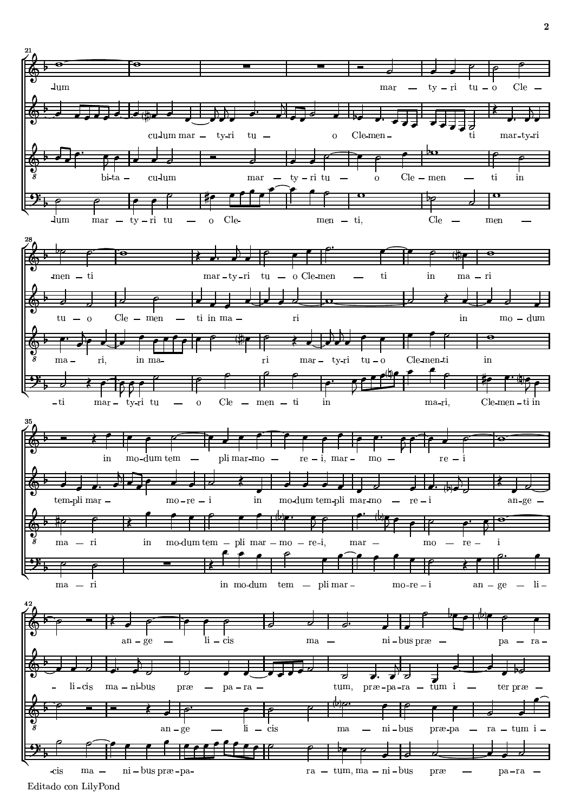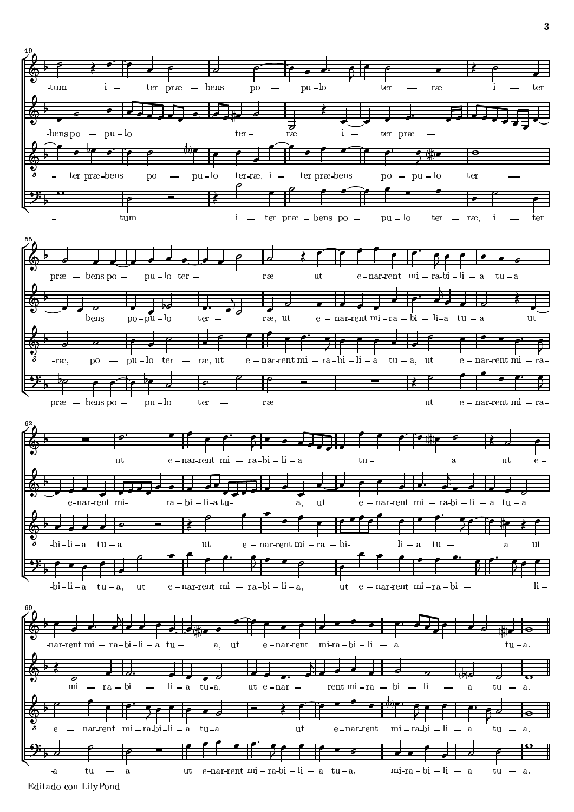

ra a contra a contra de la contra de la contra de la contra de la contra de la contra de la contra de la contra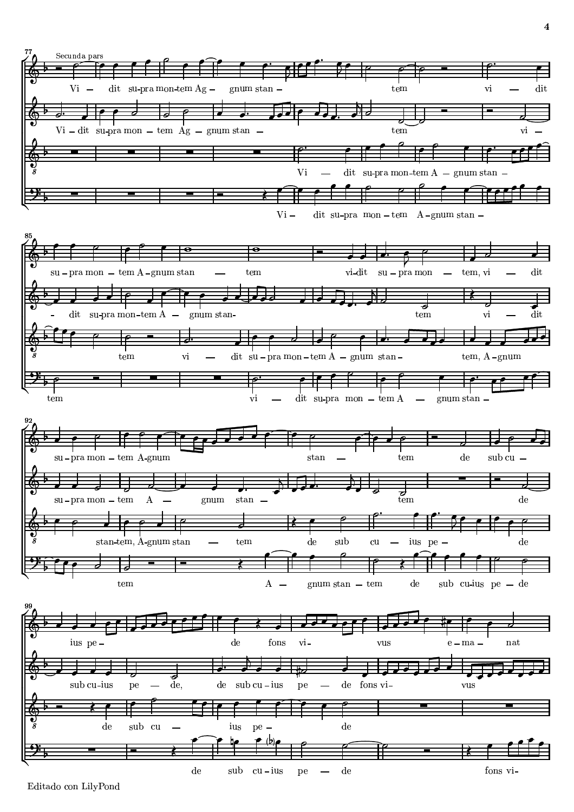

Editado con LilyPond